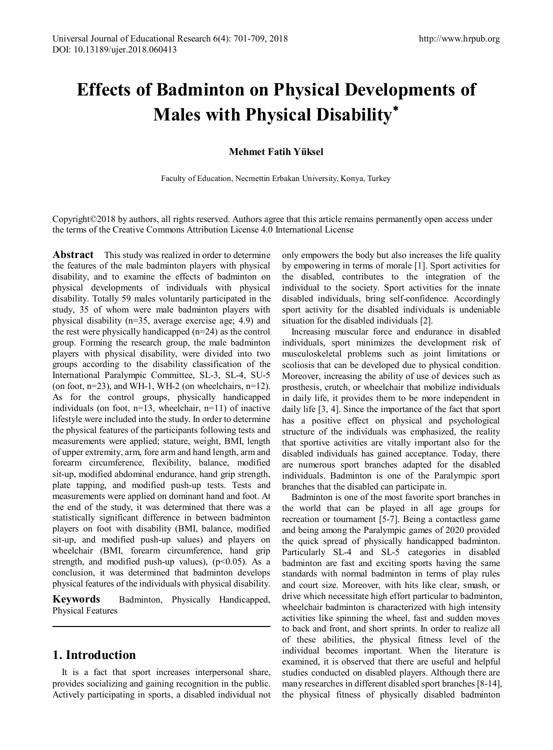# **Effects of Badminton on Physical Developments of Males with Physical Disability**[∗](#page-8-0)

## **Mehmet Fatih Yüksel**

Faculty of Education, Necmettin Erbakan University, Konya, Turkey

Copyright©2018 by authors, all rights reserved. Authors agree that this article remains permanently open access under the terms of the Creative Commons Attribution License 4.0 International License

**Abstract** This study was realized in order to determine the features of the male badminton players with physical disability, and to examine the effects of badminton on physical developments of individuals with physical disability. Totally 59 males voluntarily participated in the study, 35 of whom were male badminton players with physical disability (n=35, average exercise age; 4.9) and the rest were physically handicapped (n=24) as the control group. Forming the research group, the male badminton players with physical disability, were divided into two groups according to the disability classification of the International Paralympic Committee, SL-3, SL-4, SU-5 (on foot,  $n=23$ ), and WH-1, WH-2 (on wheelchairs,  $n=12$ ). As for the control groups, physically handicapped individuals (on foot,  $n=13$ , wheelchair,  $n=11$ ) of inactive lifestyle were included into the study. In order to determine the physical features of the participants following tests and measurements were applied; stature, weight, BMI, length of upper extremity, arm, fore arm and hand length, arm and forearm circumference, flexibility, balance, modified sit-up, modified abdominal endurance, hand grip strength, plate tapping, and modified push-up tests. Tests and measurements were applied on dominant hand and foot. At the end of the study, it was determined that there was a statistically significant difference in between badminton players on foot with disability (BMI, balance, modified sit-up, and modified push-up values) and players on wheelchair (BMI, forearm circumference, hand grip strength, and modified push-up values),  $(p<0.05)$ . As a conclusion, it was determined that badminton develops physical features of the individuals with physical disability.

**Keywords** Badminton, Physically Handicapped, Physical Features

# **1. Introduction**

It is a fact that sport increases interpersonal share, provides socializing and gaining recognition in the public. Actively participating in sports, a disabled individual not only empowers the body but also increases the life quality by empowering in terms of morale [1]. Sport activities for the disabled, contributes to the integration of the individual to the society. Sport activities for the innate disabled individuals, bring self-confidence. Accordingly sport activity for the disabled individuals is undeniable situation for the disabled individuals [2].

Increasing muscular force and endurance in disabled individuals, sport minimizes the development risk of musculoskeletal problems such as joint limitations or scoliosis that can be developed due to physical condition. Moreover, increasing the ability of use of devices such as prosthesis, crutch, or wheelchair that mobilize individuals in daily life, it provides them to be more independent in daily life [3, 4]. Since the importance of the fact that sport has a positive effect on physical and psychological structure of the individuals was emphasized, the reality that sportive activities are vitally important also for the disabled individuals has gained acceptance. Today, there are numerous sport branches adapted for the disabled individuals. Badminton is one of the Paralympic sport branches that the disabled can participate in.

Badminton is one of the most favorite sport branches in the world that can be played in all age groups for recreation or tournament [5-7]. Being a contactless game and being among the Paralympic games of 2020 provided the quick spread of physically handicapped badminton. Particularly SL-4 and SL-5 categories in disabled badminton are fast and exciting sports having the same standards with normal badminton in terms of play rules and court size. Moreover, with hits like clear, smash, or drive which necessitate high effort particular to badminton, wheelchair badminton is characterized with high intensity activities like spinning the wheel, fast and sudden moves to back and front, and short sprints. In order to realize all of these abilities, the physical fitness level of the individual becomes important. When the literature is examined, it is observed that there are useful and helpful studies conducted on disabled players. Although there are many researches in different disabled sport branches [8-14], the physical fitness of physically disabled badminton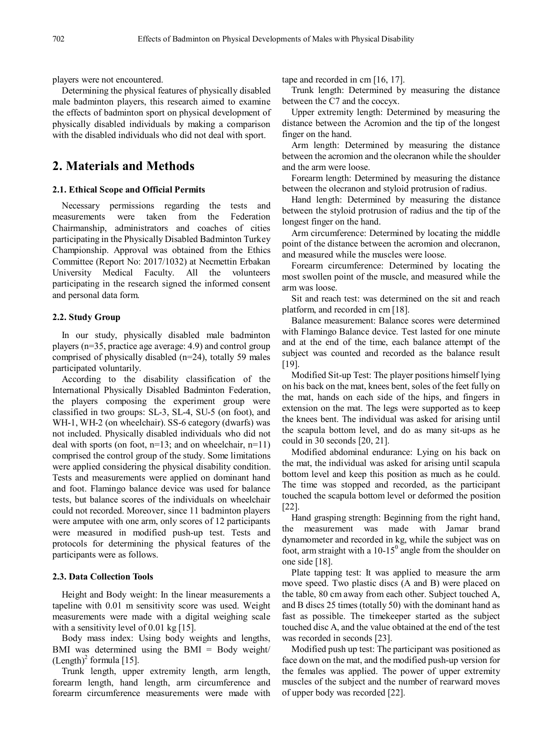players were not encountered.

Determining the physical features of physically disabled male badminton players, this research aimed to examine the effects of badminton sport on physical development of physically disabled individuals by making a comparison with the disabled individuals who did not deal with sport.

# **2. Materials and Methods**

#### **2.1. Ethical Scope and Official Permits**

Necessary permissions regarding the tests and measurements were taken from the Federation Chairmanship, administrators and coaches of cities participating in the Physically Disabled Badminton Turkey Championship. Approval was obtained from the Ethics Committee (Report No: 2017/1032) at Necmettin Erbakan University Medical Faculty. All the volunteers participating in the research signed the informed consent and personal data form.

#### **2.2. Study Group**

In our study, physically disabled male badminton players (n=35, practice age average: 4.9) and control group comprised of physically disabled (n=24), totally 59 males participated voluntarily.

According to the disability classification of the International Physically Disabled Badminton Federation, the players composing the experiment group were classified in two groups: SL-3, SL-4, SU-5 (on foot), and WH-1, WH-2 (on wheelchair). SS-6 category (dwarfs) was not included. Physically disabled individuals who did not deal with sports (on foot,  $n=13$ ; and on wheelchair,  $n=11$ ) comprised the control group of the study. Some limitations were applied considering the physical disability condition. Tests and measurements were applied on dominant hand and foot. Flamingo balance device was used for balance tests, but balance scores of the individuals on wheelchair could not recorded. Moreover, since 11 badminton players were amputee with one arm, only scores of 12 participants were measured in modified push-up test. Tests and protocols for determining the physical features of the participants were as follows.

#### **2.3. Data Collection Tools**

Height and Body weight: In the linear measurements a tapeline with 0.01 m sensitivity score was used. Weight measurements were made with a digital weighing scale with a sensitivity level of 0.01 kg [15].

Body mass index: Using body weights and lengths, BMI was determined using the BMI = Body weight/  $(Length)<sup>2</sup> formula [15]$ .

Trunk length, upper extremity length, arm length, forearm length, hand length, arm circumference and forearm circumference measurements were made with tape and recorded in cm [16, 17].

Trunk length: Determined by measuring the distance between the C7 and the coccyx.

Upper extremity length: Determined by measuring the distance between the Acromion and the tip of the longest finger on the hand.

Arm length: Determined by measuring the distance between the acromion and the olecranon while the shoulder and the arm were loose.

Forearm length: Determined by measuring the distance between the olecranon and styloid protrusion of radius.

Hand length: Determined by measuring the distance between the styloid protrusion of radius and the tip of the longest finger on the hand.

Arm circumference: Determined by locating the middle point of the distance between the acromion and olecranon, and measured while the muscles were loose.

Forearm circumference: Determined by locating the most swollen point of the muscle, and measured while the arm was loose.

Sit and reach test: was determined on the sit and reach platform, and recorded in cm [18].

Balance measurement: Balance scores were determined with Flamingo Balance device. Test lasted for one minute and at the end of the time, each balance attempt of the subject was counted and recorded as the balance result [19].

Modified Sit-up Test: The player positions himself lying on his back on the mat, knees bent, soles of the feet fully on the mat, hands on each side of the hips, and fingers in extension on the mat. The legs were supported as to keep the knees bent. The individual was asked for arising until the scapula bottom level, and do as many sit-ups as he could in 30 seconds [20, 21].

Modified abdominal endurance: Lying on his back on the mat, the individual was asked for arising until scapula bottom level and keep this position as much as he could. The time was stopped and recorded, as the participant touched the scapula bottom level or deformed the position [22].

Hand grasping strength: Beginning from the right hand, the measurement was made with Jamar brand dynamometer and recorded in kg, while the subject was on foot, arm straight with a  $10-15^{\circ}$  angle from the shoulder on one side [18].

Plate tapping test: It was applied to measure the arm move speed. Two plastic discs (A and B) were placed on the table, 80 cm away from each other. Subject touched A, and B discs 25 times (totally 50) with the dominant hand as fast as possible. The timekeeper started as the subject touched disc A, and the value obtained at the end of the test was recorded in seconds [23].

Modified push up test: The participant was positioned as face down on the mat, and the modified push-up version for the females was applied. The power of upper extremity muscles of the subject and the number of rearward moves of upper body was recorded [22].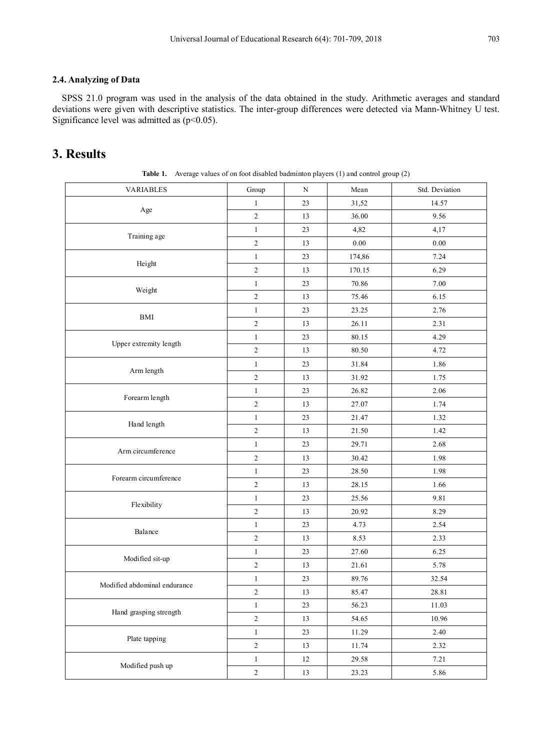## **2.4. Analyzing of Data**

SPSS 21.0 program was used in the analysis of the data obtained in the study. Arithmetic averages and standard deviations were given with descriptive statistics. The inter-group differences were detected via Mann-Whitney U test. Significance level was admitted as  $(p<0.05)$ .

# **3. Results**

| <b>VARIABLES</b>             | Group          | N      | Mean     | Std. Deviation |
|------------------------------|----------------|--------|----------|----------------|
|                              | $\mathbf{1}$   | 23     | 31,52    | 14.57          |
| Age                          | $\overline{2}$ | 13     | 36.00    | 9.56           |
| Training age                 | $\mathbf{1}$   | 23     | 4,82     | 4,17           |
|                              | $\sqrt{2}$     | 13     | $0.00\,$ | $0.00\,$       |
| Height                       | $\mathbf{1}$   | 23     | 174,86   | 7.24           |
|                              | $\sqrt{2}$     | 13     | 170.15   | 6.29           |
|                              | $\mathbf{1}$   | 23     | 70.86    | 7.00           |
| Weight                       | $\sqrt{2}$     | 13     | 75.46    | 6.15           |
|                              | 1              | 23     | 23.25    | 2.76           |
| <b>BMI</b>                   | $\sqrt{2}$     | 13     | 26.11    | 2.31           |
|                              | $\mathbf{1}$   | 23     | 80.15    | 4.29           |
| Upper extremity length       | $\overline{2}$ | 13     | 80.50    | 4.72           |
| Arm length                   | $\mathbf{1}$   | 23     | 31.84    | 1.86           |
|                              | $\overline{2}$ | 13     | 31.92    | 1.75           |
|                              | $\mathbf{1}$   | 23     | 26.82    | 2.06           |
| Forearm length               | $\sqrt{2}$     | 13     | 27.07    | 1.74           |
|                              | $\mathbf{1}$   | 23     | 21.47    | 1.32           |
| Hand length                  | $\sqrt{2}$     | 13     | 21.50    | 1.42           |
| Arm circumference            | $\mathbf{1}$   | 23     | 29.71    | 2.68           |
|                              | $\sqrt{2}$     | 13     | 30.42    | 1.98           |
| Forearm circumference        | $\mathbf{1}$   | 23     | 28.50    | 1.98           |
|                              | $\overline{c}$ | 13     | 28.15    | 1.66           |
|                              | $\mathbf{1}$   | 23     | 25.56    | 9.81           |
| Flexibility                  | $\sqrt{2}$     | 13     | 20.92    | 8.29           |
|                              | $\mathbf{1}$   | 23     | 4.73     | 2.54           |
| Balance                      | $\sqrt{2}$     | 13     | 8.53     | 2.33           |
| Modified sit-up              | $\mathbf{1}$   | 23     | 27.60    | 6.25           |
|                              | $\sqrt{2}$     | 13     | 21.61    | 5.78           |
|                              | $\mathbf{1}$   | 23     | 89.76    | 32.54          |
| Modified abdominal endurance | $\overline{c}$ | 13     | 85.47    | 28.81          |
| Hand grasping strength       | $1\,$          | 23     | 56.23    | 11.03          |
|                              | $\sqrt{2}$     | 13     | 54.65    | 10.96          |
| Plate tapping                | $\mathbf{1}$   | $23\,$ | 11.29    | 2.40           |
|                              | $\sqrt{2}$     | 13     | 11.74    | 2.32           |
| Modified push up             | $\,1$          | $12\,$ | 29.58    | 7.21           |
|                              | $\overline{c}$ | 13     | 23.23    | 5.86           |

Table 1. Average values of on foot disabled badminton players (1) and control group (2)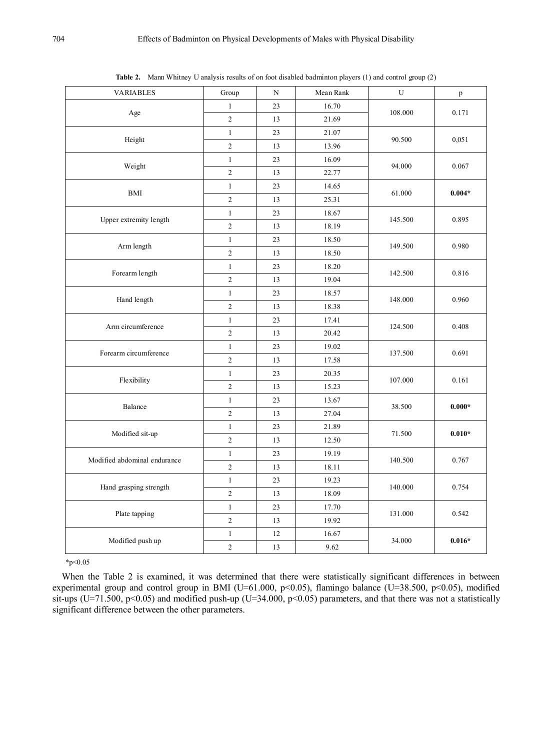| <b>VARIABLES</b>             | Group          | ${\bf N}$ | Mean Rank | U       | p        |
|------------------------------|----------------|-----------|-----------|---------|----------|
| Age                          | $\,1$          | 23        | 16.70     |         | 0.171    |
|                              | $\overline{2}$ | 13        | 21.69     | 108.000 |          |
| Height                       | $\mathbf{1}$   | 23        | 21.07     | 90.500  | 0,051    |
|                              | $\sqrt{2}$     | 13        | 13.96     |         |          |
| Weight                       | $\mathbf{1}$   | 23        | 16.09     | 94.000  | 0.067    |
|                              | $\overline{c}$ | 13        | 22.77     |         |          |
| <b>BMI</b>                   | $\mathbf{1}$   | 23        | 14.65     | 61.000  | $0.004*$ |
|                              | $\sqrt{2}$     | 13        | 25.31     |         |          |
|                              | $\mathbf{1}$   | 23        | 18.67     |         |          |
| Upper extremity length       | $\overline{c}$ | 13        | 18.19     | 145.500 | 0.895    |
| Arm length                   | $\,1$          | 23        | 18.50     | 149.500 | 0.980    |
|                              | $\overline{c}$ | 13        | 18.50     |         |          |
|                              | $\,1$          | 23        | 18.20     | 142.500 | 0.816    |
| Forearm length               | $\overline{c}$ | 13        | 19.04     |         |          |
|                              | $\mathbf{1}$   | 23        | 18.57     |         | 0.960    |
| Hand length                  | $\overline{c}$ | 13        | 18.38     | 148.000 |          |
| Arm circumference            | $\mathbf{1}$   | 23        | 17.41     | 124.500 | 0.408    |
|                              | $\overline{c}$ | 13        | 20.42     |         |          |
| Forearm circumference        | $\mathbf{1}$   | 23        | 19.02     | 137.500 | 0.691    |
|                              | $\overline{c}$ | 13        | 17.58     |         |          |
| Flexibility                  | $\mathbf{1}$   | 23        | 20.35     |         | 0.161    |
|                              | $\overline{c}$ | 13        | 15.23     | 107.000 |          |
|                              | $\mathbf{1}$   | 23        | 13.67     |         | $0.000*$ |
| Balance                      | $\sqrt{2}$     | 13        | 27.04     | 38.500  |          |
| Modified sit-up              | $\mathbf{1}$   | 23        | 21.89     |         | $0.010*$ |
|                              | $\overline{c}$ | 13        | 12.50     | 71.500  |          |
| Modified abdominal endurance | $\,1$          | 23        | 19.19     | 140.500 | 0.767    |
|                              | $\overline{2}$ | 13        | 18.11     |         |          |
|                              | $\mathbf{1}$   | 23        | 19.23     | 140.000 | 0.754    |
| Hand grasping strength       | $\sqrt{2}$     | 13        | 18.09     |         |          |
| Plate tapping                | $\mathbf{1}$   | 23        | 17.70     |         | 0.542    |
|                              | $\overline{2}$ | 13        | 19.92     | 131.000 |          |
| Modified push up             | $\mathbf{1}$   | $12\,$    | 16.67     |         | $0.016*$ |
|                              | $\overline{2}$ | 13        | 9.62      | 34.000  |          |

**Table 2.** Mann Whitney U analysis results of on foot disabled badminton players (1) and control group (2)

 $*p<0.05$ 

When the Table 2 is examined, it was determined that there were statistically significant differences in between experimental group and control group in BMI (U=61.000, p<0.05), flamingo balance (U=38.500, p<0.05), modified sit-ups (U=71.500, p<0.05) and modified push-up (U=34.000, p<0.05) parameters, and that there was not a statistically significant difference between the other parameters.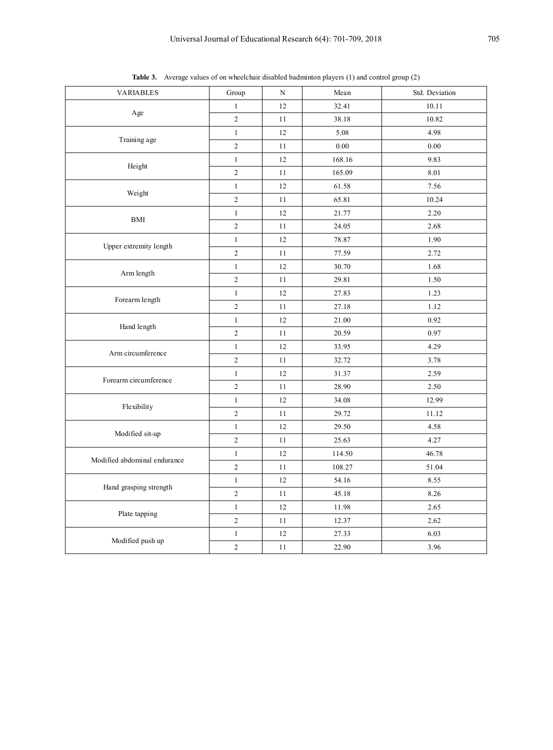| <b>VARIABLES</b>             | Group          | N  | Mean   | Std. Deviation |
|------------------------------|----------------|----|--------|----------------|
| Age                          | $\mathbf{1}$   | 12 | 32.41  | 10.11          |
|                              | $\sqrt{2}$     | 11 | 38.18  | 10.82          |
| Training age                 | $\mathbf{1}$   | 12 | 5.08   | 4.98           |
|                              | $\overline{c}$ | 11 | 0.00   | 0.00           |
|                              | $\mathbf{1}$   | 12 | 168.16 | 9.83           |
| Height                       | $\sqrt{2}$     | 11 | 165.09 | 8.01           |
| Weight                       | $\mathbf{1}$   | 12 | 61.58  | 7.56           |
|                              | $\sqrt{2}$     | 11 | 65.81  | 10.24          |
|                              | $\mathbf{1}$   | 12 | 21.77  | 2.20           |
| <b>BMI</b>                   | $\overline{c}$ | 11 | 24.05  | 2.68           |
|                              | $\mathbf{1}$   | 12 | 78.87  | 1.90           |
| Upper extremity length       | $\overline{c}$ | 11 | 77.59  | 2.72           |
|                              | $\mathbf{1}$   | 12 | 30.70  | 1.68           |
| Arm length                   | $\sqrt{2}$     | 11 | 29.81  | 1.50           |
| Forearm length               | $\mathbf{1}$   | 12 | 27.83  | 1.23           |
|                              | $\overline{c}$ | 11 | 27.18  | 1.12           |
| Hand length                  | $\mathbf{1}$   | 12 | 21.00  | 0.92           |
|                              | $\sqrt{2}$     | 11 | 20.59  | 0.97           |
|                              | $\mathbf{1}$   | 12 | 33.95  | 4.29           |
| Arm circumference            | $\overline{c}$ | 11 | 32.72  | 3.78           |
| Forearm circumference        | $\mathbf{1}$   | 12 | 31.37  | 2.59           |
|                              | $\overline{c}$ | 11 | 28.90  | 2.50           |
| Flexibility                  | $\mathbf{1}$   | 12 | 34.08  | 12.99          |
|                              | $\sqrt{2}$     | 11 | 29.72  | 11.12          |
| Modified sit-up              | $\mathbf{1}$   | 12 | 29.50  | 4.58           |
|                              | $\sqrt{2}$     | 11 | 25.63  | 4.27           |
| Modified abdominal endurance | $\mathbf{1}$   | 12 | 114.50 | 46.78          |
|                              | $\overline{c}$ | 11 | 108.27 | 51.04          |
|                              | $\mathbf{1}$   | 12 | 54.16  | 8.55           |
| Hand grasping strength       | $\sqrt{2}$     | 11 | 45.18  | 8.26           |
| Plate tapping                | $\mathbf{1}$   | 12 | 11.98  | 2.65           |
|                              | $\overline{c}$ | 11 | 12.37  | 2.62           |
| Modified push up             | $\mathbf{1}$   | 12 | 27.33  | 6.03           |
|                              | $\overline{c}$ | 11 | 22.90  | 3.96           |

**Table 3.** Average values of on wheelchair disabled badminton players (1) and control group (2)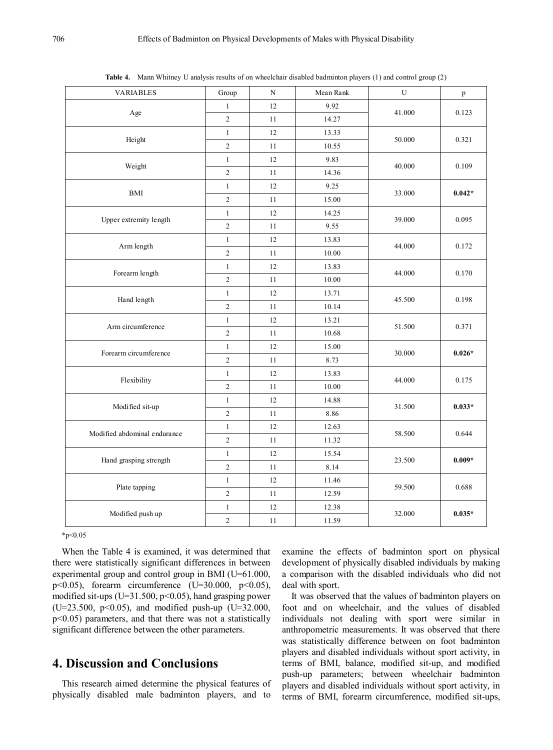| <b>VARIABLES</b>             | Group                   | N      | Mean Rank | U      | $\, {\bf p}$ |
|------------------------------|-------------------------|--------|-----------|--------|--------------|
| Age                          | $\mathbf{1}$            | 12     | 9.92      |        | 0.123        |
|                              | $\overline{c}$          | 11     | 14.27     | 41.000 |              |
| Height                       | $\mathbf{1}$            | 12     | 13.33     |        | 0.321        |
|                              | $\overline{c}$          | 11     | 10.55     | 50.000 |              |
| Weight                       | $\,1$                   | 12     | 9.83      | 40.000 | 0.109        |
|                              | $\overline{c}$          | 11     | 14.36     |        |              |
| <b>BMI</b>                   | $\mathbf{1}$            | 12     | 9.25      | 33.000 | $0.042*$     |
|                              | $\overline{\mathbf{c}}$ | 11     | 15.00     |        |              |
|                              | $\mathbf{1}$            | 12     | 14.25     |        | 0.095        |
| Upper extremity length       | $\overline{c}$          | 11     | 9.55      | 39.000 |              |
| Arm length                   | $\mathbf{1}$            | 12     | 13.83     |        | 0.172        |
|                              | $\sqrt{2}$              | $11\,$ | 10.00     | 44.000 |              |
|                              | $\mathbf{1}$            | 12     | 13.83     | 44.000 | 0.170        |
| Forearm length               | $\overline{c}$          | 11     | 10.00     |        |              |
|                              | $\mathbf{1}$            | 12     | 13.71     | 45.500 | 0.198        |
| Hand length                  | $\overline{\mathbf{c}}$ | $11\,$ | 10.14     |        |              |
|                              | $\mathbf{1}$            | 12     | 13.21     | 51.500 | 0.371        |
| Arm circumference            | $\overline{c}$          | $1\,1$ | 10.68     |        |              |
|                              | $\mathbf{1}$            | 12     | 15.00     | 30.000 | $0.026*$     |
| Forearm circumference        | $\sqrt{2}$              | $11\,$ | 8.73      |        |              |
| Flexibility                  | $\mathbf{1}$            | 12     | 13.83     | 44.000 | 0.175        |
|                              | $\overline{2}$          | 11     | 10.00     |        |              |
| Modified sit-up              | $\mathbf{1}$            | 12     | 14.88     | 31.500 | $0.033*$     |
|                              | $\overline{c}$          | $11\,$ | 8.86      |        |              |
| Modified abdominal endurance | $\mathbf{1}$            | 12     | 12.63     | 58.500 | 0.644        |
|                              | $\overline{c}$          | 11     | 11.32     |        |              |
| Hand grasping strength       | $\mathbf{1}$            | 12     | 15.54     | 23.500 | $0.009*$     |
|                              | $\sqrt{2}$              | $11\,$ | 8.14      |        |              |
| Plate tapping                | $\mathbf{1}$            | 12     | 11.46     | 59.500 | 0.688        |
|                              | $\overline{c}$          | 11     | 12.59     |        |              |
| Modified push up             | $\mathbf{1}$            | 12     | 12.38     |        | $0.035*$     |
|                              | $\overline{c}$          | $11\,$ | 11.59     | 32.000 |              |

**Table 4.** Mann Whitney U analysis results of on wheelchair disabled badminton players (1) and control group (2)

 $*p<0.05$ 

When the Table 4 is examined, it was determined that there were statistically significant differences in between experimental group and control group in BMI (U=61.000, p<0.05), forearm circumference (U=30.000, p<0.05), modified sit-ups ( $U=31.500$ ,  $p<0.05$ ), hand grasping power (U=23.500, p<0.05), and modified push-up (U=32.000, p<0.05) parameters, and that there was not a statistically significant difference between the other parameters.

# **4. Discussion and Conclusions**

This research aimed determine the physical features of physically disabled male badminton players, and to

examine the effects of badminton sport on physical development of physically disabled individuals by making a comparison with the disabled individuals who did not deal with sport.

It was observed that the values of badminton players on foot and on wheelchair, and the values of disabled individuals not dealing with sport were similar in anthropometric measurements. It was observed that there was statistically difference between on foot badminton players and disabled individuals without sport activity, in terms of BMI, balance, modified sit-up, and modified push-up parameters; between wheelchair badminton players and disabled individuals without sport activity, in terms of BMI, forearm circumference, modified sit-ups,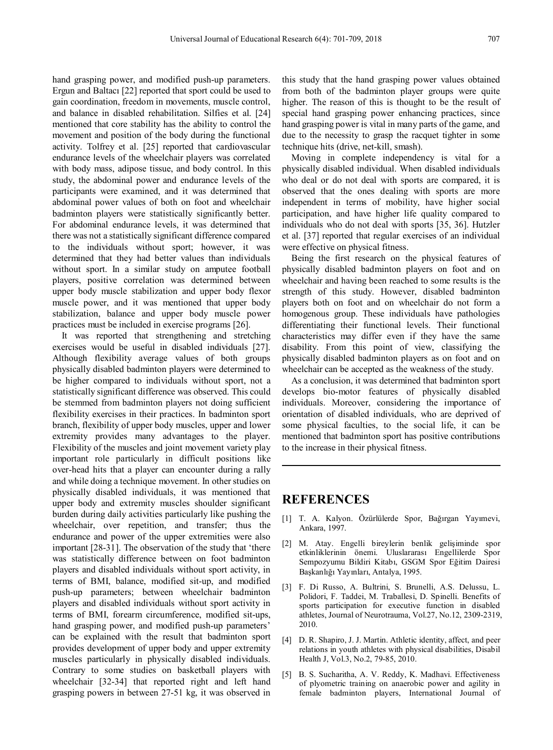hand grasping power, and modified push-up parameters. Ergun and Baltacı [22] reported that sport could be used to gain coordination, freedom in movements, muscle control, and balance in disabled rehabilitation. Silfies et al. [24] mentioned that core stability has the ability to control the movement and position of the body during the functional activity. Tolfrey et al. [25] reported that cardiovascular endurance levels of the wheelchair players was correlated with body mass, adipose tissue, and body control. In this study, the abdominal power and endurance levels of the participants were examined, and it was determined that abdominal power values of both on foot and wheelchair badminton players were statistically significantly better. For abdominal endurance levels, it was determined that there was not a statistically significant difference compared to the individuals without sport; however, it was determined that they had better values than individuals without sport. In a similar study on amputee football players, positive correlation was determined between upper body muscle stabilization and upper body flexor muscle power, and it was mentioned that upper body stabilization, balance and upper body muscle power practices must be included in exercise programs [26].

It was reported that strengthening and stretching exercises would be useful in disabled individuals [27]. Although flexibility average values of both groups physically disabled badminton players were determined to be higher compared to individuals without sport, not a statistically significant difference was observed. This could be stemmed from badminton players not doing sufficient flexibility exercises in their practices. In badminton sport branch, flexibility of upper body muscles, upper and lower extremity provides many advantages to the player. Flexibility of the muscles and joint movement variety play important role particularly in difficult positions like over-head hits that a player can encounter during a rally and while doing a technique movement. In other studies on physically disabled individuals, it was mentioned that upper body and extremity muscles shoulder significant burden during daily activities particularly like pushing the wheelchair, over repetition, and transfer; thus the endurance and power of the upper extremities were also important [28-31]. The observation of the study that 'there was statistically difference between on foot badminton players and disabled individuals without sport activity, in terms of BMI, balance, modified sit-up, and modified push-up parameters; between wheelchair badminton players and disabled individuals without sport activity in terms of BMI, forearm circumference, modified sit-ups, hand grasping power, and modified push-up parameters' can be explained with the result that badminton sport provides development of upper body and upper extremity muscles particularly in physically disabled individuals. Contrary to some studies on basketball players with wheelchair [32-34] that reported right and left hand grasping powers in between 27-51 kg, it was observed in

this study that the hand grasping power values obtained from both of the badminton player groups were quite higher. The reason of this is thought to be the result of special hand grasping power enhancing practices, since hand grasping power is vital in many parts of the game, and due to the necessity to grasp the racquet tighter in some technique hits (drive, net-kill, smash).

Moving in complete independency is vital for a physically disabled individual. When disabled individuals who deal or do not deal with sports are compared, it is observed that the ones dealing with sports are more independent in terms of mobility, have higher social participation, and have higher life quality compared to individuals who do not deal with sports [35, 36]. Hutzler et al. [37] reported that regular exercises of an individual were effective on physical fitness.

Being the first research on the physical features of physically disabled badminton players on foot and on wheelchair and having been reached to some results is the strength of this study. However, disabled badminton players both on foot and on wheelchair do not form a homogenous group. These individuals have pathologies differentiating their functional levels. Their functional characteristics may differ even if they have the same disability. From this point of view, classifying the physically disabled badminton players as on foot and on wheelchair can be accepted as the weakness of the study.

As a conclusion, it was determined that badminton sport develops bio-motor features of physically disabled individuals. Moreover, considering the importance of orientation of disabled individuals, who are deprived of some physical faculties, to the social life, it can be mentioned that badminton sport has positive contributions to the increase in their physical fitness.

## **REFERENCES**

- [1] T. A. Kalyon. Özürlülerde Spor, Bağırgan Yayımevi, Ankara, 1997.
- [2] M. Atay. Engelli bireylerin benlik gelişiminde spor etkinliklerinin önemi. Uluslararası Engellilerde Spor Sempozyumu Bildiri Kitabı, GSGM Spor Eğitim Dairesi Başkanlığı Yayınları, Antalya, 1995.
- [3] F. Di Russo, A. Bultrini, S. Brunelli, A.S. Delussu, L. Polidori, F. Taddei, M. Traballesi, D. Spinelli. Benefits of sports participation for executive function in disabled athletes, Journal of Neurotrauma, Vol.27, No.12, 2309-2319, 2010.
- [4] D. R. Shapiro, J. J. Martin. Athletic identity, affect, and peer relations in youth athletes with physical disabilities, Disabil Health J, Vol.3, No.2, 79-85, 2010.
- [5] B. S. Sucharitha, A. V. Reddy, K. Madhavi. Effectiveness of plyometric training on anaerobic power and agility in female badminton players, International Journal of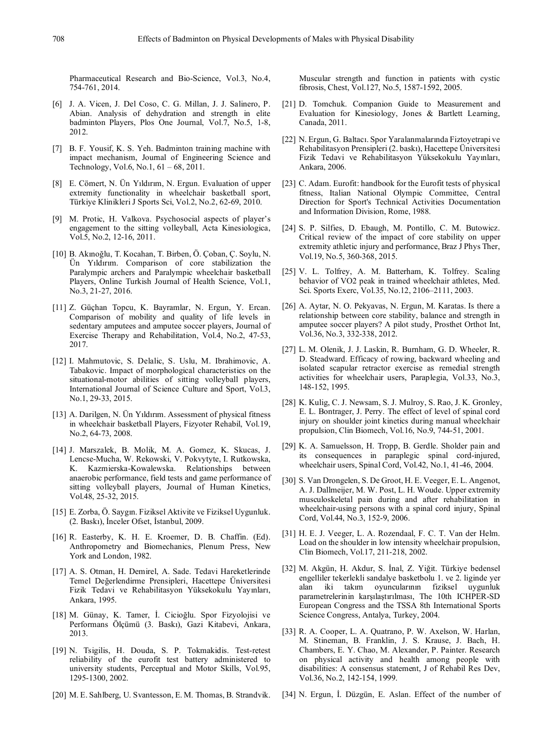Pharmaceutical Research and Bio-Science, Vol.3, No.4, 754-761, 2014.

- [6] J. A. Vicen, J. Del Coso, C. G. Millan, J. J. Salinero, P. Abian. Analysis of dehydration and strength in elite badminton Players, Plos One Journal, Vol.7, No.5, 1-8, 2012.
- [7] B. F. Yousif, K. S. Yeh. Badminton training machine with impact mechanism, Journal of Engineering Science and Technology, Vol.6, No.1, 61 – 68, 2011.
- [8] E. Cömert, N. Ün Yıldırım, N. Ergun. Evaluation of upper extremity functionality in wheelchair basketball sport, Türkiye Klinikleri J Sports Sci, Vol.2, No.2, 62-69, 2010.
- [9] M. Protic, H. Valkova. Psychosocial aspects of player's engagement to the sitting volleyball, Acta Kinesiologica, Vol.5, No.2, 12-16, 2011.
- [10] B. Akınoğlu, T. Kocahan, T. Birben, Ö. Çoban, Ç. Soylu, N. Ün Yıldırım. Comparison of core stabilization the Paralympic archers and Paralympic wheelchair basketball Players, Online Turkish Journal of Health Science, Vol.1, No.3, 21-27, 2016.
- [11] Z. Güçhan Topcu, K. Bayramlar, N. Ergun, Y. Ercan. Comparison of mobility and quality of life levels in sedentary amputees and amputee soccer players, Journal of Exercise Therapy and Rehabilitation, Vol.4, No.2, 47-53, 2017.
- [12] I. Mahmutovic, S. Delalic, S. Uslu, M. Ibrahimovic, A. Tabakovic. Impact of morphological characteristics on the situational-motor abilities of sitting volleyball players, International Journal of Science Culture and Sport, Vol.3, No.1, 29-33, 2015.
- [13] A. Darilgen, N. Ün Yıldırım. Assessment of physical fitness in wheelchair basketball Players, Fizyoter Rehabil, Vol.19, No.2, 64-73, 2008.
- [14] J. Marszalek, B. Molik, M. A. Gomez, K. Skucas, J. Lencse-Mucha, W. Rekowski, V. Pokvytyte, I. Rutkowska, K. Kazmierska-Kowalewska. Relationships between anaerobic performance, field tests and game performance of sitting volleyball players, Journal of Human Kinetics, Vol.48, 25-32, 2015.
- [15] E. Zorba, Ö. Saygın. Fiziksel Aktivite ve Fiziksel Uygunluk. (2. Baskı), İnceler Ofset, İstanbul, 2009.
- [16] R. Easterby, K. H. E. Kroemer, D. B. Chaffin. (Ed). Anthropometry and Biomechanics, Plenum Press, New York and London, 1982.
- [17] A. S. Otman, H. Demirel, A. Sade. Tedavi Hareketlerinde Temel Değerlendirme Prensipleri, Hacettepe Üniversitesi Fizik Tedavi ve Rehabilitasyon Yüksekokulu Yayınları, Ankara, 1995.
- [18] M. Günay, K. Tamer, İ. Cicioğlu. Spor Fizyolojisi ve Performans Ölçümü (3. Baskı), Gazi Kitabevi, Ankara, 2013.
- [19] N. Tsigilis, H. Douda, S. P. Tokmakidis. Test-retest reliability of the eurofit test battery administered to university students, Perceptual and Motor Skills, Vol.95, 1295-1300, 2002.
- [20] M. E. Sahlberg, U. Svantesson, E. M. Thomas, B. Strandvik.

Muscular strength and function in patients with cystic fibrosis, Chest, Vol.127, No.5, 1587-1592, 2005.

- [21] D. Tomchuk. Companion Guide to Measurement and Evaluation for Kinesiology, Jones & Bartlett Learning, Canada, 2011.
- [22] N. Ergun, G. Baltacı. Spor Yaralanmalarında Fiztoyetrapi ve Rehabilitasyon Prensipleri (2. baskı), Hacettepe Üniversitesi Fizik Tedavi ve Rehabilitasyon Yüksekokulu Yayınları, Ankara, 2006.
- [23] C. Adam. Eurofit: handbook for the Eurofit tests of physical fitness, Italian National Olympic Committee, Central Direction for Sport's Technical Activities Documentation and Information Division, Rome, 1988.
- [24] S. P. Silfies, D. Ebaugh, M. Pontillo, C. M. Butowicz. Critical review of the impact of core stability on upper extremity athletic injury and performance, Braz J Phys Ther, Vol.19, No.5, 360-368, 2015.
- [25] V. L. Tolfrey, A. M. Batterham, K. Tolfrey. Scaling behavior of VO2 peak in trained wheelchair athletes, Med. Sci. Sports Exerc, Vol.35, No.12, 2106–2111, 2003.
- [26] A. Aytar, N. O. Pekyavas, N. Ergun, M. Karatas. Is there a relationship between core stability, balance and strength in amputee soccer players? A pilot study, Prosthet Orthot Int, Vol.36, No.3, 332-338, 2012.
- [27] L. M. Olenik, J. J. Laskin, R. Burnham, G. D. Wheeler, R. D. Steadward. Efficacy of rowing, backward wheeling and isolated scapular retractor exercise as remedial strength activities for wheelchair users, Paraplegia, Vol.33, No.3, 148-152, 1995.
- [28] K. Kulig, C. J. Newsam, S. J. Mulroy, S. Rao, J. K. Gronley, E. L. Bontrager, J. Perry. The effect of level of spinal cord injury on shoulder joint kinetics during manual wheelchair propulsion, Clin Biomech, Vol.16, No.9, 744-51, 2001.
- [29] K. A. Samuelsson, H. Tropp, B. Gerdle. Sholder pain and its consequences in paraplegic spinal cord-injured, wheelchair users, Spinal Cord, Vol.42, No.1, 41-46, 2004.
- [30] S. Van Drongelen, S. De Groot, H. E. Veeger, E. L. Angenot, A. J. Dallmeijer, M. W. Post, L. H. Woude. Upper extremity musculoskeletal pain during and after rehabilitation in wheelchair-using persons with a spinal cord injury, Spinal Cord, Vol.44, No.3, 152-9, 2006.
- [31] H. E. J. Veeger, L. A. Rozendaal, F. C. T. Van der Helm. Load on the shoulder in low intensity wheelchair propulsion, Clin Biomech, Vol.17, 211-218, 2002.
- [32] M. Akgün, H. Akdur, S. İnal, Z. Yiğit. Türkiye bedensel engelliler tekerlekli sandalye basketbolu 1. ve 2. liginde yer alan iki takım oyuncularının fiziksel uygunluk parametrelerinin karşılaştırılması, The 10th ICHPER-SD European Congress and the TSSA 8th International Sports Science Congress, Antalya, Turkey, 2004.
- [33] R. A. Cooper, L. A. Quatrano, P. W. Axelson, W. Harlan, M. Stineman, B. Franklin, J. S. Krause, J. Bach, H. Chambers, E. Y. Chao, M. Alexander, P. Painter. Research on physical activity and health among people with disabilities: A consensus statement, J of Rehabil Res Dev, Vol.36, No.2, 142-154, 1999.
- [34] N. Ergun, İ. Düzgün, E. Aslan. Effect of the number of